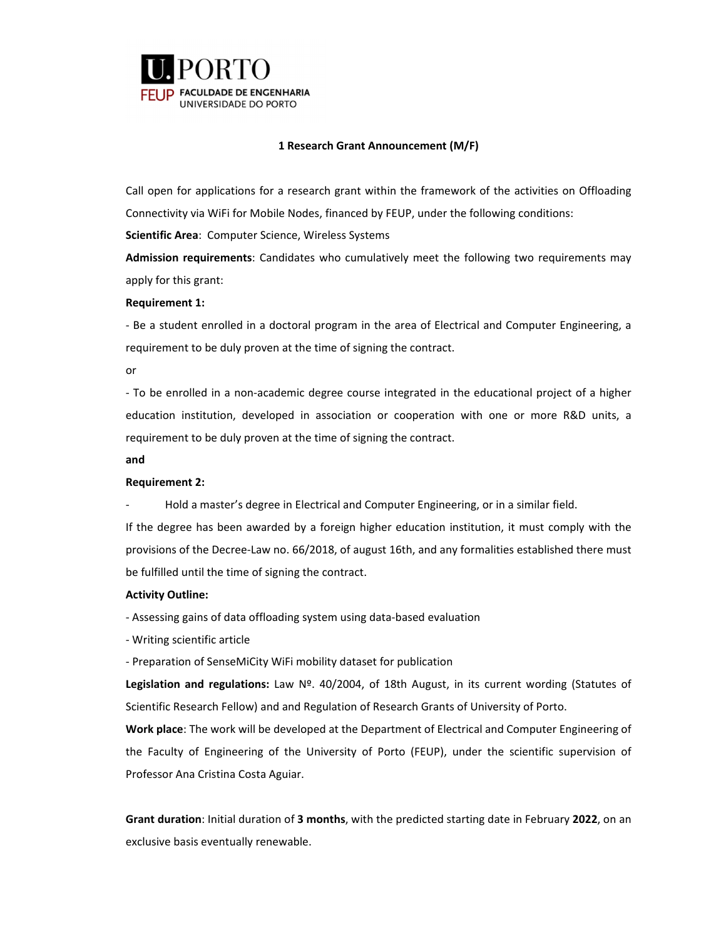

# **1 Research Grant Announcement (M/F)**

Call open for applications for a research grant within the framework of the activities on Offloading Connectivity via WiFi for Mobile Nodes, financed by FEUP, under the following conditions:

**Scientific Area**: Computer Science, Wireless Systems

**Admission requirements**: Candidates who cumulatively meet the following two requirements may apply for this grant:

# **Requirement 1:**

‐ Be a student enrolled in a doctoral program in the area of Electrical and Computer Engineering, a requirement to be duly proven at the time of signing the contract.

or

‐ To be enrolled in a non‐academic degree course integrated in the educational project of a higher education institution, developed in association or cooperation with one or more R&D units, a requirement to be duly proven at the time of signing the contract.

### **and**

# **Requirement 2:**

‐ Hold a master's degree in Electrical and Computer Engineering, or in a similar field.

If the degree has been awarded by a foreign higher education institution, it must comply with the provisions of the Decree‐Law no. 66/2018, of august 16th, and any formalities established there must be fulfilled until the time of signing the contract.

# **Activity Outline:**

‐ Assessing gains of data offloading system using data‐based evaluation

‐ Writing scientific article

‐ Preparation of SenseMiCity WiFi mobility dataset for publication

**Legislation and regulations:** Law Nº. 40/2004, of 18th August, in its current wording (Statutes of Scientific Research Fellow) and and Regulation of Research Grants of University of Porto.

**Work place**: The work will be developed at the Department of Electrical and Computer Engineering of the Faculty of Engineering of the University of Porto (FEUP), under the scientific supervision of Professor Ana Cristina Costa Aguiar.

**Grant duration**: Initial duration of **3 months**, with the predicted starting date in February **2022**, on an exclusive basis eventually renewable.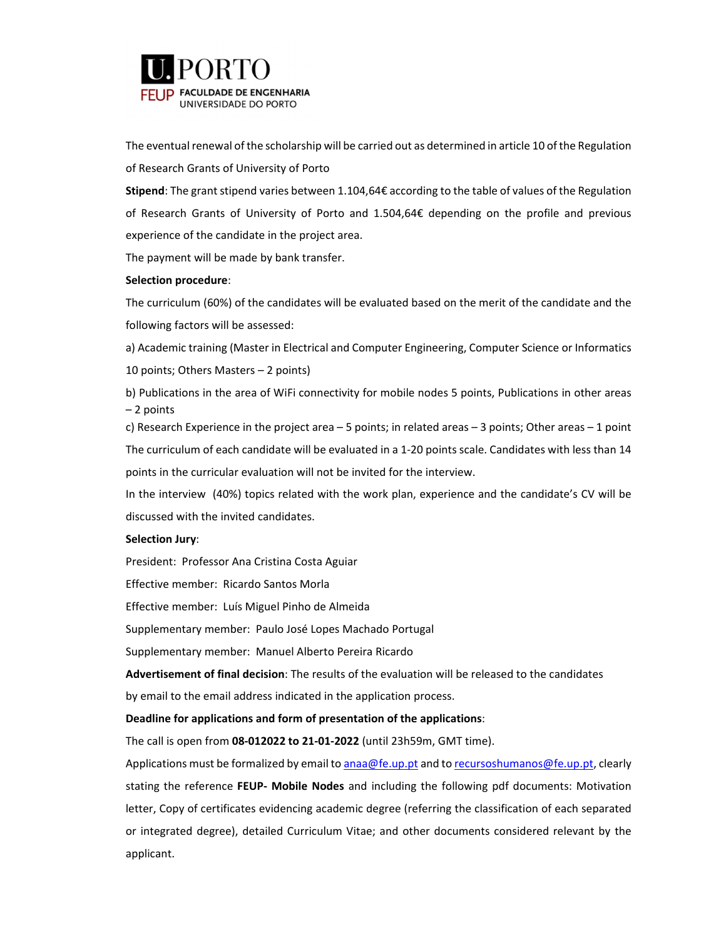

The eventual renewal of the scholarship will be carried out as determined in article 10 of the Regulation of Research Grants of University of Porto

**Stipend**: The grant stipend varies between 1.104,64€ according to the table of values of the Regulation of Research Grants of University of Porto and 1.504,64€ depending on the profile and previous experience of the candidate in the project area.

The payment will be made by bank transfer.

### **Selection procedure**:

The curriculum (60%) of the candidates will be evaluated based on the merit of the candidate and the following factors will be assessed:

a) Academic training (Master in Electrical and Computer Engineering, Computer Science or Informatics

10 points; Others Masters – 2 points)

b) Publications in the area of WiFi connectivity for mobile nodes 5 points, Publications in other areas – 2 points

c) Research Experience in the project area – 5 points; in related areas – 3 points; Other areas – 1 point The curriculum of each candidate will be evaluated in a 1‐20 points scale. Candidates with less than 14 points in the curricular evaluation will not be invited for the interview.

In the interview (40%) topics related with the work plan, experience and the candidate's CV will be discussed with the invited candidates.

# **Selection Jury**:

President: Professor Ana Cristina Costa Aguiar

Effective member: Ricardo Santos Morla

Effective member: Luís Miguel Pinho de Almeida

Supplementary member: Paulo José Lopes Machado Portugal

Supplementary member: Manuel Alberto Pereira Ricardo

**Advertisement of final decision**: The results of the evaluation will be released to the candidates by email to the email address indicated in the application process.

### **Deadline for applications and form of presentation of the applications**:

The call is open from **08‐012022 to 21‐01‐2022** (until 23h59m, GMT time).

Applications must be formalized by email to anaa@fe.up.pt and to recursoshumanos@fe.up.pt, clearly stating the reference **FEUP‐ Mobile Nodes** and including the following pdf documents: Motivation letter, Copy of certificates evidencing academic degree (referring the classification of each separated or integrated degree), detailed Curriculum Vitae; and other documents considered relevant by the applicant.